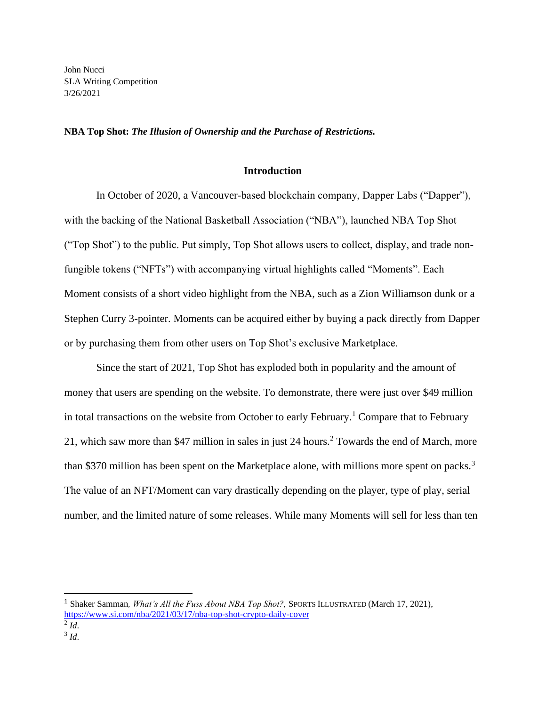John Nucci SLA Writing Competition 3/26/2021

#### **NBA Top Shot:** *The Illusion of Ownership and the Purchase of Restrictions.*

### **Introduction**

In October of 2020, a Vancouver-based blockchain company, Dapper Labs ("Dapper"), with the backing of the National Basketball Association ("NBA"), launched NBA Top Shot ("Top Shot") to the public. Put simply, Top Shot allows users to collect, display, and trade nonfungible tokens ("NFTs") with accompanying virtual highlights called "Moments". Each Moment consists of a short video highlight from the NBA, such as a Zion Williamson dunk or a Stephen Curry 3-pointer. Moments can be acquired either by buying a pack directly from Dapper or by purchasing them from other users on Top Shot's exclusive Marketplace.

Since the start of 2021, Top Shot has exploded both in popularity and the amount of money that users are spending on the website. To demonstrate, there were just over \$49 million in total transactions on the website from October to early February.<sup>1</sup> Compare that to February 21, which saw more than \$47 million in sales in just 24 hours.<sup>2</sup> Towards the end of March, more than \$370 million has been spent on the Marketplace alone, with millions more spent on packs.<sup>3</sup> The value of an NFT/Moment can vary drastically depending on the player, type of play, serial number, and the limited nature of some releases. While many Moments will sell for less than ten

<sup>1</sup> Shaker Samman*, What's All the Fuss About NBA Top Shot?,* SPORTS ILLUSTRATED (March 17, 2021), <https://www.si.com/nba/2021/03/17/nba-top-shot-crypto-daily-cover>

<sup>2</sup> *Id*.

<sup>3</sup> *Id*.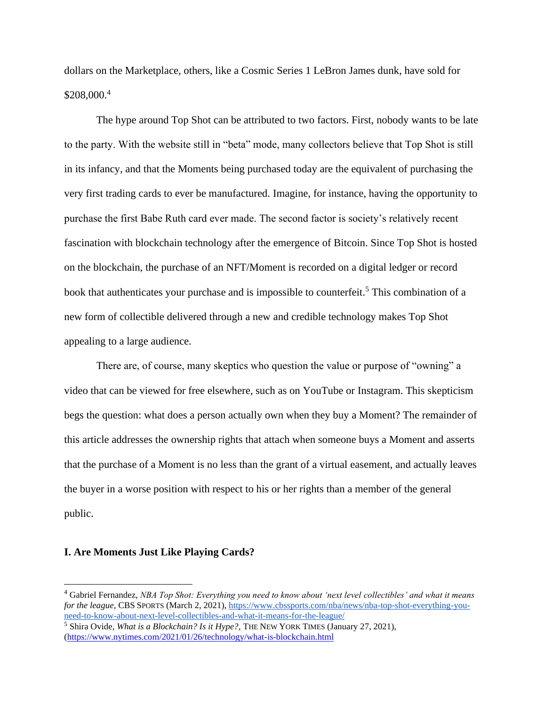dollars on the Marketplace, others, like a Cosmic Series 1 LeBron James dunk, have sold for \$208,000.<sup>4</sup>

The hype around Top Shot can be attributed to two factors. First, nobody wants to be late to the party. With the website still in "beta" mode, many collectors believe that Top Shot is still in its infancy, and that the Moments being purchased today are the equivalent of purchasing the very first trading cards to ever be manufactured. Imagine, for instance, having the opportunity to purchase the first Babe Ruth card ever made. The second factor is society's relatively recent fascination with blockchain technology after the emergence of Bitcoin. Since Top Shot is hosted on the blockchain, the purchase of an NFT/Moment is recorded on a digital ledger or record book that authenticates your purchase and is impossible to counterfeit.<sup>5</sup> This combination of a new form of collectible delivered through a new and credible technology makes Top Shot appealing to a large audience.

There are, of course, many skeptics who question the value or purpose of "owning" a video that can be viewed for free elsewhere, such as on YouTube or Instagram. This skepticism begs the question: what does a person actually own when they buy a Moment? The remainder of this article addresses the ownership rights that attach when someone buys a Moment and asserts that the purchase of a Moment is no less than the grant of a virtual easement, and actually leaves the buyer in a worse position with respect to his or her rights than a member of the general public.

### **I. Are Moments Just Like Playing Cards?**

<sup>4</sup> Gabriel Fernandez, *NBA Top Shot: Everything you need to know about 'next level collectibles' and what it means for the league*, CBS SPORTS (March 2, 2021)[, https://www.cbssports.com/nba/news/nba-top-shot-everything-you](https://www.cbssports.com/nba/news/nba-top-shot-everything-you-need-to-know-about-next-level-collectibles-and-what-it-means-for-the-league/)[need-to-know-about-next-level-collectibles-and-what-it-means-for-the-league/](https://www.cbssports.com/nba/news/nba-top-shot-everything-you-need-to-know-about-next-level-collectibles-and-what-it-means-for-the-league/)

<sup>5</sup> Shira Ovide, *What is a Blockchain? Is it Hype?,* THE NEW YORK TIMES (January 27, 2021), [\(https://www.nytimes.com/2021/01/26/technology/what-is-blockchain.html](https://www.nytimes.com/2021/01/26/technology/what-is-blockchain.html)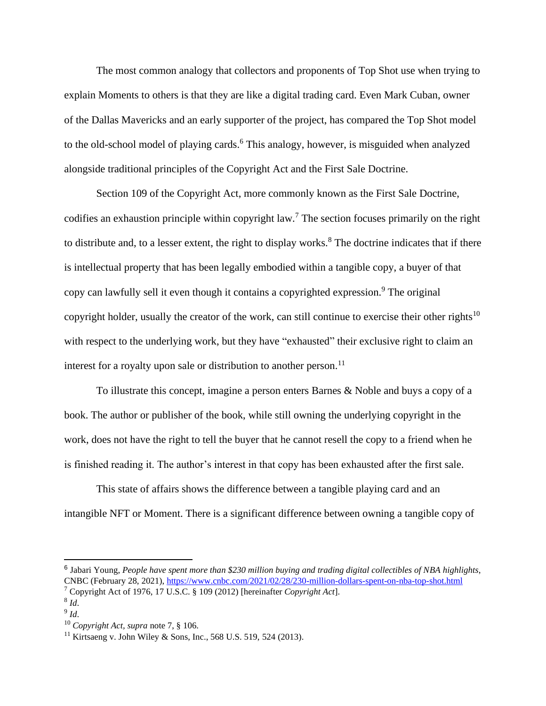The most common analogy that collectors and proponents of Top Shot use when trying to explain Moments to others is that they are like a digital trading card. Even Mark Cuban, owner of the Dallas Mavericks and an early supporter of the project, has compared the Top Shot model to the old-school model of playing cards.<sup>6</sup> This analogy, however, is misguided when analyzed alongside traditional principles of the Copyright Act and the First Sale Doctrine.

Section 109 of the Copyright Act, more commonly known as the First Sale Doctrine, codifies an exhaustion principle within copyright law.<sup>7</sup> The section focuses primarily on the right to distribute and, to a lesser extent, the right to display works.<sup>8</sup> The doctrine indicates that if there is intellectual property that has been legally embodied within a tangible copy, a buyer of that copy can lawfully sell it even though it contains a copyrighted expression.<sup>9</sup> The original copyright holder, usually the creator of the work, can still continue to exercise their other rights<sup>10</sup> with respect to the underlying work, but they have "exhausted" their exclusive right to claim an interest for a royalty upon sale or distribution to another person.<sup>11</sup>

To illustrate this concept, imagine a person enters Barnes & Noble and buys a copy of a book. The author or publisher of the book, while still owning the underlying copyright in the work, does not have the right to tell the buyer that he cannot resell the copy to a friend when he is finished reading it. The author's interest in that copy has been exhausted after the first sale.

This state of affairs shows the difference between a tangible playing card and an intangible NFT or Moment. There is a significant difference between owning a tangible copy of

<sup>6</sup> Jabari Young, *People have spent more than \$230 million buying and trading digital collectibles of NBA highlights*, CNBC (February 28, 2021),<https://www.cnbc.com/2021/02/28/230-million-dollars-spent-on-nba-top-shot.html> <sup>7</sup> Copyright Act of 1976, 17 U.S.C. § 109 (2012) [hereinafter *Copyright Act*].

<sup>8</sup> *Id*.

<sup>9</sup> *Id*.

<sup>10</sup> *Copyright Act, supra* note 7, § 106.

<sup>&</sup>lt;sup>11</sup> [Kirtsaeng v. John Wiley & Sons, Inc., 568 U.S. 519, 524](https://plus.lexis.com/document/midlinetitle/?pdmfid=1530671&crid=dcda8614-5ef7-4088-a2eb-e457ee5b2555&pddocfullpath=%2Fshared%2Fdocument%2Fcases%2Furn%3AcontentItem%3A5SPG-DV11-F7ND-G16K-00000-00&pdcomponentid=6385&ecomp=gp_k&earg=sr6&prid=e1c21e05-5c37-4218-bf30-bd1e6b341d1b) (2013).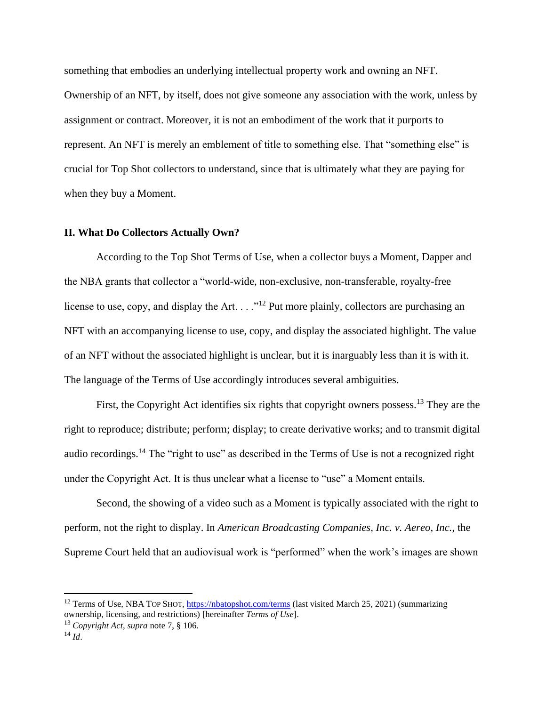something that embodies an underlying intellectual property work and owning an NFT. Ownership of an NFT, by itself, does not give someone any association with the work, unless by assignment or contract. Moreover, it is not an embodiment of the work that it purports to represent. An NFT is merely an emblement of title to something else. That "something else" is crucial for Top Shot collectors to understand, since that is ultimately what they are paying for when they buy a Moment.

# **II. What Do Collectors Actually Own?**

According to the Top Shot Terms of Use, when a collector buys a Moment, Dapper and the NBA grants that collector a "world-wide, non-exclusive, non-transferable, royalty-free license to use, copy, and display the Art.  $\dots$ <sup>12</sup> Put more plainly, collectors are purchasing an NFT with an accompanying license to use, copy, and display the associated highlight. The value of an NFT without the associated highlight is unclear, but it is inarguably less than it is with it. The language of the Terms of Use accordingly introduces several ambiguities.

First, the Copyright Act identifies six rights that copyright owners possess.<sup>13</sup> They are the right to reproduce; distribute; perform; display; to create derivative works; and to transmit digital audio recordings.<sup>14</sup> The "right to use" as described in the Terms of Use is not a recognized right under the Copyright Act. It is thus unclear what a license to "use" a Moment entails.

Second, the showing of a video such as a Moment is typically associated with the right to perform, not the right to display. In *American Broadcasting Companies, Inc. v. Aereo, Inc.*, the Supreme Court held that an audiovisual work is "performed" when the work's images are shown

<sup>&</sup>lt;sup>12</sup> Terms of Use, NBA TOP SHOT,<https://nbatopshot.com/terms> (last visited March 25, 2021) (summarizing ownership, licensing, and restrictions) [hereinafter *Terms of Use*].

<sup>13</sup> *Copyright Act, supra* note 7, § 106.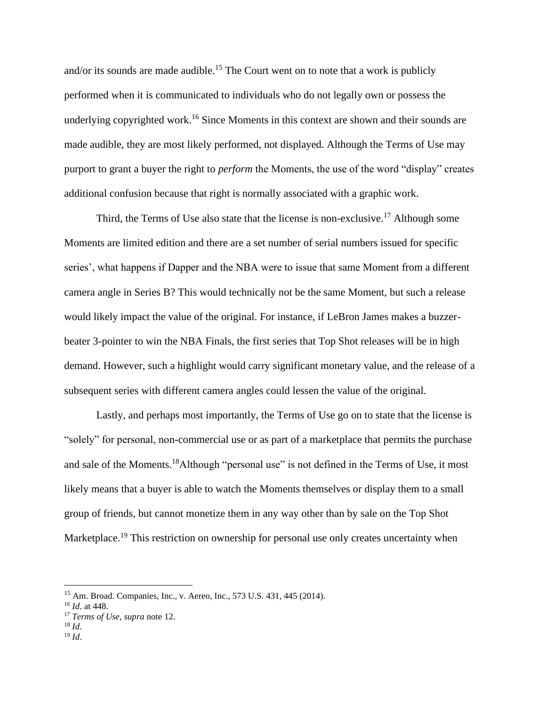and/or its sounds are made audible.<sup>15</sup> The Court went on to note that a work is publicly performed when it is communicated to individuals who do not legally own or possess the underlying copyrighted work.<sup>16</sup> Since Moments in this context are shown and their sounds are made audible, they are most likely performed, not displayed. Although the Terms of Use may purport to grant a buyer the right to *perform* the Moments, the use of the word "display" creates additional confusion because that right is normally associated with a graphic work.

Third, the Terms of Use also state that the license is non-exclusive.<sup>17</sup> Although some Moments are limited edition and there are a set number of serial numbers issued for specific series', what happens if Dapper and the NBA were to issue that same Moment from a different camera angle in Series B? This would technically not be the same Moment, but such a release would likely impact the value of the original. For instance, if LeBron James makes a buzzerbeater 3-pointer to win the NBA Finals, the first series that Top Shot releases will be in high demand. However, such a highlight would carry significant monetary value, and the release of a subsequent series with different camera angles could lessen the value of the original.

Lastly, and perhaps most importantly, the Terms of Use go on to state that the license is "solely" for personal, non-commercial use or as part of a marketplace that permits the purchase and sale of the Moments.<sup>18</sup>Although "personal use" is not defined in the Terms of Use, it most likely means that a buyer is able to watch the Moments themselves or display them to a small group of friends, but cannot monetize them in any way other than by sale on the Top Shot Marketplace.<sup>19</sup> This restriction on ownership for personal use only creates uncertainty when

<sup>15</sup> Am. Broad. Companies, Inc., v. Aereo, Inc., 573 U.S. 431, 445 (2014).

<sup>16</sup> *Id*. at 448.

<sup>17</sup> *Terms of Use, supra* note 12.

<sup>18</sup> *Id*.

 $19$  *Id.*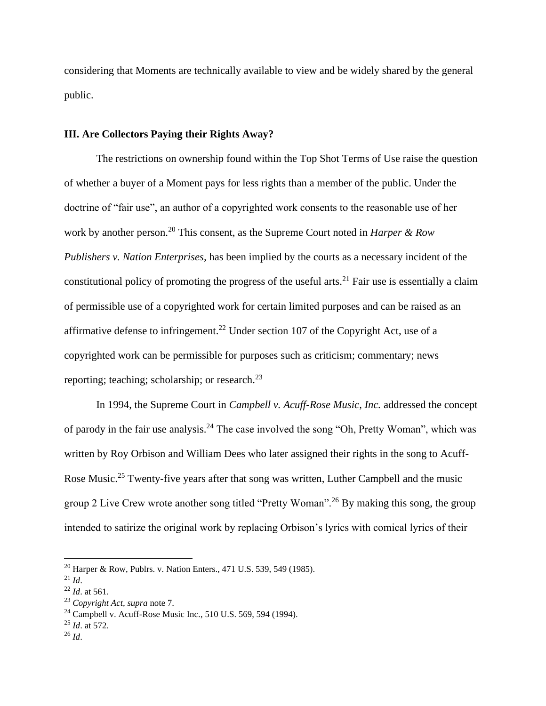considering that Moments are technically available to view and be widely shared by the general public.

## **III. Are Collectors Paying their Rights Away?**

The restrictions on ownership found within the Top Shot Terms of Use raise the question of whether a buyer of a Moment pays for less rights than a member of the public. Under the doctrine of "fair use", an author of a copyrighted work consents to the reasonable use of her work by another person.<sup>20</sup> This consent, as the Supreme Court noted in *Harper & Row Publishers v. Nation Enterprises,* has been implied by the courts as a necessary incident of the constitutional policy of promoting the progress of the useful arts.<sup>21</sup> Fair use is essentially a claim of permissible use of a copyrighted work for certain limited purposes and can be raised as an affirmative defense to infringement.<sup>22</sup> Under section 107 of the Copyright Act, use of a copyrighted work can be permissible for purposes such as criticism; commentary; news reporting; teaching; scholarship; or research. $^{23}$ 

In 1994, the Supreme Court in *Campbell v. Acuff-Rose Music, Inc.* addressed the concept of parody in the fair use analysis.<sup>24</sup> The case involved the song "Oh, Pretty Woman", which was written by Roy Orbison and William Dees who later assigned their rights in the song to Acuff-Rose Music.<sup>25</sup> Twenty-five years after that song was written, Luther Campbell and the music group 2 Live Crew wrote another song titled "Pretty Woman".<sup>26</sup> By making this song, the group intended to satirize the original work by replacing Orbison's lyrics with comical lyrics of their

<sup>25</sup> *Id*. at 572.

<sup>20</sup> Harper & Row, Publrs. v. Nation Enters., 471 U.S. 539, 549 (1985).

 $^{21}$  *Id.* 

<sup>22</sup> *Id*. at 561.

<sup>23</sup> *Copyright Act, supra* note 7.

<sup>24</sup> Campbell v. Acuff-Rose Music Inc., 510 U.S. 569, 594 (1994).

 $^{26}$  *Id.*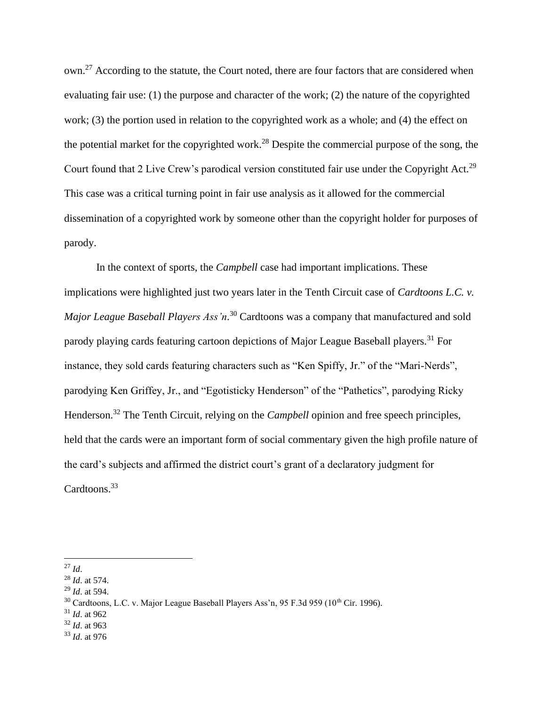own.<sup>27</sup> According to the statute, the Court noted, there are four factors that are considered when evaluating fair use: (1) the purpose and character of the work; (2) the nature of the copyrighted work; (3) the portion used in relation to the copyrighted work as a whole; and (4) the effect on the potential market for the copyrighted work.<sup>28</sup> Despite the commercial purpose of the song, the Court found that 2 Live Crew's parodical version constituted fair use under the Copyright Act.<sup>29</sup> This case was a critical turning point in fair use analysis as it allowed for the commercial dissemination of a copyrighted work by someone other than the copyright holder for purposes of parody.

In the context of sports, the *Campbell* case had important implications. These implications were highlighted just two years later in the Tenth Circuit case of *Cardtoons L.C. v. Major League Baseball Players Ass'n*. <sup>30</sup> Cardtoons was a company that manufactured and sold parody playing cards featuring cartoon depictions of Major League Baseball players.<sup>31</sup> For instance, they sold cards featuring characters such as "Ken Spiffy, Jr." of the "Mari-Nerds", parodying Ken Griffey, Jr., and "Egotisticky Henderson" of the "Pathetics", parodying Ricky Henderson.<sup>32</sup> The Tenth Circuit, relying on the *Campbell* opinion and free speech principles, held that the cards were an important form of social commentary given the high profile nature of the card's subjects and affirmed the district court's grant of a declaratory judgment for Cardtoons.<sup>33</sup>

- <sup>31</sup> *Id*. at 962
- <sup>32</sup> *Id*. at 963
- <sup>33</sup> *Id*. at 976

<sup>27</sup> *Id*.

<sup>28</sup> *Id*. at 574.

<sup>29</sup> *Id*. at 594.

 $30$  Cardtoons, L.C. v. Major League Baseball Players Ass'n, 95 F.3d 959 (10<sup>th</sup> Cir. 1996).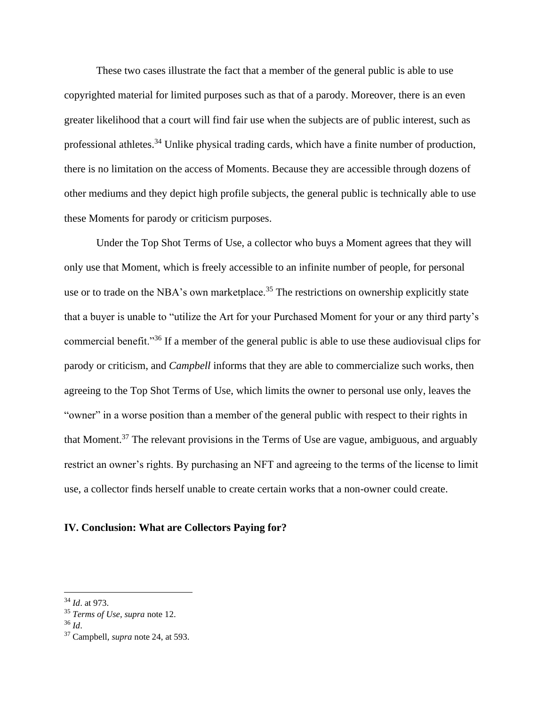These two cases illustrate the fact that a member of the general public is able to use copyrighted material for limited purposes such as that of a parody. Moreover, there is an even greater likelihood that a court will find fair use when the subjects are of public interest, such as professional athletes.<sup>34</sup> Unlike physical trading cards, which have a finite number of production, there is no limitation on the access of Moments. Because they are accessible through dozens of other mediums and they depict high profile subjects, the general public is technically able to use these Moments for parody or criticism purposes.

Under the Top Shot Terms of Use, a collector who buys a Moment agrees that they will only use that Moment, which is freely accessible to an infinite number of people, for personal use or to trade on the NBA's own marketplace.<sup>35</sup> The restrictions on ownership explicitly state that a buyer is unable to "utilize the Art for your Purchased Moment for your or any third party's commercial benefit."<sup>36</sup> If a member of the general public is able to use these audiovisual clips for parody or criticism, and *Campbell* informs that they are able to commercialize such works, then agreeing to the Top Shot Terms of Use, which limits the owner to personal use only, leaves the "owner" in a worse position than a member of the general public with respect to their rights in that Moment.<sup>37</sup> The relevant provisions in the Terms of Use are vague, ambiguous, and arguably restrict an owner's rights. By purchasing an NFT and agreeing to the terms of the license to limit use, a collector finds herself unable to create certain works that a non-owner could create.

### **IV. Conclusion: What are Collectors Paying for?**

<sup>34</sup> *Id*. at 973.

<sup>35</sup> *Terms of Use, supra* note 12.

<sup>36</sup> *Id*.

<sup>37</sup> Campbell*, supra* note 24, at 593.